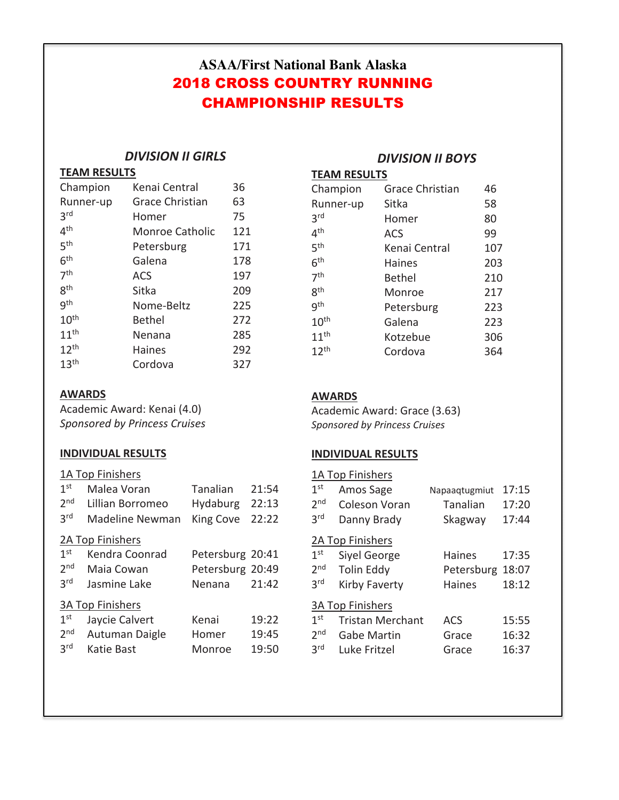# **ASAA/First National Bank Alaska** 2018 CROSS COUNTRY RUNNING CHAMPIONSHIP RESULTS

# *DIVISION II GIRLS*

## **TEAM RESULTS**

| Champion         | Kenai Central          | 36  |
|------------------|------------------------|-----|
| Runner-up        | <b>Grace Christian</b> | 63  |
| 3rd              | Homer                  | 75  |
| 4 <sup>th</sup>  | Monroe Catholic        | 121 |
| 5 <sup>th</sup>  | Petersburg             | 171 |
| 6 <sup>th</sup>  | Galena                 | 178 |
| 7 <sup>th</sup>  | <b>ACS</b>             | 197 |
| gth              | Sitka                  | 209 |
| gth              | Nome-Beltz             | 225 |
| 10 <sup>th</sup> | Bethel                 | 272 |
| 11 <sup>th</sup> | Nenana                 | 285 |
| 12 <sup>th</sup> | Haines                 | 292 |
| 13 <sup>th</sup> | Cordova                | 327 |

### **AWARDS**

Academic Award: Kenai (4.0) *Sponsored by Princess Cruises*

### **INDIVIDUAL RESULTS**

## 1A Top Finishers

| 1 <sup>st</sup> | Malea Voran             | Tanalian         | 21:54 |
|-----------------|-------------------------|------------------|-------|
| 2 <sub>nd</sub> | Lillian Borromeo        | Hydaburg         | 22:13 |
| 3 <sup>rd</sup> | Madeline Newman         | <b>King Cove</b> | 22:22 |
|                 | 2A Top Finishers        |                  |       |
| 1 <sup>st</sup> | Kendra Coonrad          | Petersburg 20:41 |       |
| 2 <sub>nd</sub> | Maia Cowan              | Petersburg 20:49 |       |
| 3 <sup>rd</sup> | Jasmine Lake            | Nenana           | 21:42 |
|                 | <b>3A Top Finishers</b> |                  |       |
| 1 <sup>st</sup> | Jaycie Calvert          | Kenai            | 19:22 |
| 2 <sub>nd</sub> | Autuman Daigle          | Homer            | 19:45 |
| 3 <sup>rd</sup> | Katie Bast              | Monroe           | 19:50 |

# *DIVISION II BOYS*

**TEAM RESULTS** 

| Champion         | <b>Grace Christian</b> | 46  |
|------------------|------------------------|-----|
| Runner-up        | Sitka                  | 58  |
| 3 <sup>rd</sup>  | Homer                  | 80  |
| 4 <sup>th</sup>  | <b>ACS</b>             | 99  |
| 5 <sup>th</sup>  | Kenai Central          | 107 |
| 6 <sup>th</sup>  | <b>Haines</b>          | 203 |
| 7 <sup>th</sup>  | <b>Bethel</b>          | 210 |
| 8 <sup>th</sup>  | Monroe                 | 217 |
| gth              | Petersburg             | 223 |
| 10 <sup>th</sup> | Galena                 | 223 |
| 11 <sup>th</sup> | Kotzebue               | 306 |
| 12 <sup>th</sup> | Cordova                | 364 |

### **AWARDS**

Academic Award: Grace (3.63) *Sponsored by Princess Cruises*

### **INDIVIDUAL RESULTS**

|                 | 1A Top Finishers        |               |       |
|-----------------|-------------------------|---------------|-------|
| 1 <sup>st</sup> | Amos Sage               | Napaaqtugmiut | 17:15 |
| 2 <sub>nd</sub> | Coleson Voran           | Tanalian      | 17:20 |
| 3 <sup>rd</sup> | Danny Brady             | Skagway       | 17:44 |
|                 | 2A Top Finishers        |               |       |
| 1 <sup>st</sup> | Siyel George            | <b>Haines</b> | 17:35 |
| 2 <sub>nd</sub> | <b>Tolin Eddy</b>       | Petersburg    | 18:07 |
| 3 <sup>rd</sup> | Kirby Faverty           | <b>Haines</b> | 18:12 |
|                 | <b>3A Top Finishers</b> |               |       |
| 1 <sup>st</sup> | <b>Tristan Merchant</b> | <b>ACS</b>    | 15:55 |
| 2 <sub>nd</sub> | Gabe Martin             | Grace         | 16:32 |
| <b>3rd</b>      | Luke Fritzel            | Grace         | 16:37 |
|                 |                         |               |       |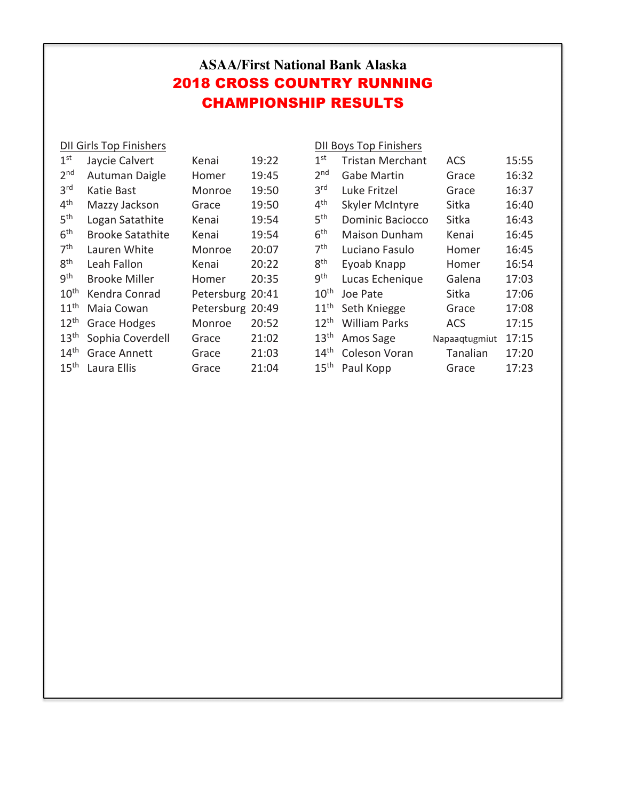# **ASAA/First National Bank Alaska** 2018 CROSS COUNTRY RUNNING CHAMPIONSHIP RESULTS

DII Girls Top Finishers

# DII Boys Top Finishers

| 1 <sup>st</sup>  | Jaycie Calvert          | Kenai      | 19:22 |
|------------------|-------------------------|------------|-------|
| 2 <sub>nd</sub>  | Autuman Daigle          | Homer      | 19:45 |
| 3 <sup>rd</sup>  | Katie Bast              | Monroe     | 19:50 |
| 4 <sup>th</sup>  | Mazzy Jackson           | Grace      | 19:50 |
| 5 <sup>th</sup>  | Logan Satathite         | Kenai      | 19:54 |
| 6 <sup>th</sup>  | <b>Brooke Satathite</b> | Kenai      | 19:54 |
| 7 <sup>th</sup>  | Lauren White            | Monroe     | 20:07 |
| gth              | Leah Fallon             | Kenai      | 20:22 |
| gth              | Brooke Miller           | Homer      | 20:35 |
| 10 <sup>th</sup> | Kendra Conrad           | Petersburg | 20:41 |
| 11 <sup>th</sup> | Maia Cowan              | Petersburg | 20:49 |
| $12^{th}$        | <b>Grace Hodges</b>     | Monroe     | 20:52 |
| 13 <sup>th</sup> | Sophia Coverdell        | Grace      | 21:02 |
| 14 <sup>th</sup> | Grace Annett            | Grace      | 21:03 |
| 15 <sup>th</sup> | Laura Ellis             | Grace      | 21:04 |

| 1 <sup>st</sup>  | <b>Tristan Merchant</b> | <b>ACS</b>    | 15:55 |
|------------------|-------------------------|---------------|-------|
| 2 <sub>nd</sub>  | Gabe Martin             | Grace         | 16:32 |
| 3 <sup>rd</sup>  | Luke Fritzel            | Grace         | 16:37 |
| 4 <sup>th</sup>  | <b>Skyler McIntyre</b>  | Sitka         | 16:40 |
| 5 <sup>th</sup>  | <b>Dominic Baciocco</b> | Sitka         | 16:43 |
| 6 <sup>th</sup>  | <b>Maison Dunham</b>    | Kenai         | 16:45 |
| 7 <sup>th</sup>  | Luciano Fasulo          | Homer         | 16:45 |
| gth              | Eyoab Knapp             | Homer         | 16:54 |
| gth              | Lucas Echenique         | Galena        | 17:03 |
| 10 <sup>th</sup> | Joe Pate                | Sitka         | 17:06 |
| 11 <sup>th</sup> | Seth Kniegge            | Grace         | 17:08 |
| $12^{th}$        | <b>William Parks</b>    | <b>ACS</b>    | 17:15 |
| 13 <sup>th</sup> | Amos Sage               | Napaaqtugmiut | 17:15 |
| 14 <sup>th</sup> | <b>Coleson Voran</b>    | Tanalian      | 17:20 |
| 15 <sup>th</sup> | Paul Kopp               | Grace         | 17:23 |